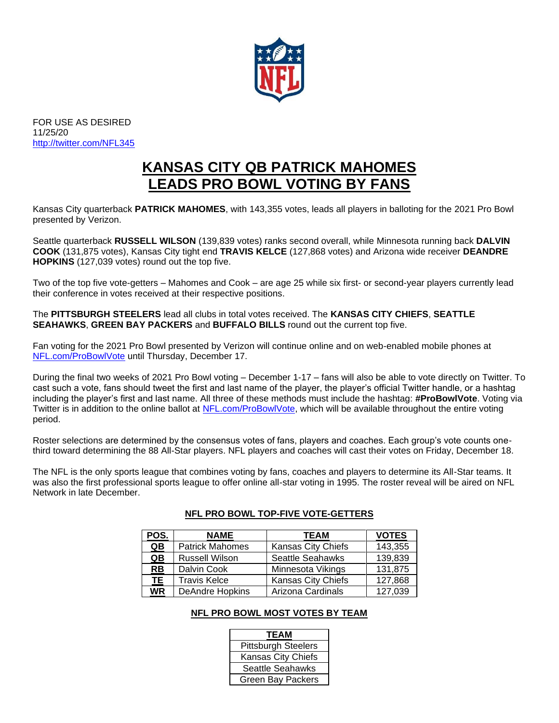

FOR USE AS DESIRED 11/25/20 <http://twitter.com/NFL345>

# **KANSAS CITY QB PATRICK MAHOMES LEADS PRO BOWL VOTING BY FANS**

Kansas City quarterback **PATRICK MAHOMES**, with 143,355 votes, leads all players in balloting for the 2021 Pro Bowl presented by Verizon.

Seattle quarterback **RUSSELL WILSON** (139,839 votes) ranks second overall, while Minnesota running back **DALVIN COOK** (131,875 votes), Kansas City tight end **TRAVIS KELCE** (127,868 votes) and Arizona wide receiver **DEANDRE HOPKINS** (127,039 votes) round out the top five.

Two of the top five vote-getters – Mahomes and Cook – are age 25 while six first- or second-year players currently lead their conference in votes received at their respective positions.

The **PITTSBURGH STEELERS** lead all clubs in total votes received. The **KANSAS CITY CHIEFS**, **SEATTLE SEAHAWKS**, **GREEN BAY PACKERS** and **BUFFALO BILLS** round out the current top five.

Fan voting for the 2021 Pro Bowl presented by Verizon will continue online and on web-enabled mobile phones at [NFL.com/ProBowlVote](http://www.nfl.com/probowl/ballot) until Thursday, December 17.

During the final two weeks of 2021 Pro Bowl voting – December 1-17 – fans will also be able to vote directly on Twitter. To cast such a vote, fans should tweet the first and last name of the player, the player's official Twitter handle, or a hashtag including the player's first and last name. All three of these methods must include the hashtag: **#ProBowlVote**. Voting via Twitter is in addition to the online ballot at [NFL.com/ProBowlVote,](http://www.nfl.com/probowl/ballot) which will be available throughout the entire voting period.

Roster selections are determined by the consensus votes of fans, players and coaches. Each group's vote counts onethird toward determining the 88 All-Star players. NFL players and coaches will cast their votes on Friday, December 18.

The NFL is the only sports league that combines voting by fans, coaches and players to determine its All-Star teams. It was also the first professional sports league to offer online all-star voting in 1995. The roster reveal will be aired on NFL Network in late December.

| POS. | <b>NAME</b>            | <b>TEAM</b>             | <b>VOTES</b> |
|------|------------------------|-------------------------|--------------|
| QB   | <b>Patrick Mahomes</b> | Kansas City Chiefs      | 143,355      |
| QB   | <b>Russell Wilson</b>  | <b>Seattle Seahawks</b> | 139,839      |
| RB   | Dalvin Cook            | Minnesota Vikings       | 131,875      |
| TE.  | <b>Travis Kelce</b>    | Kansas City Chiefs      | 127,868      |
| WR   | <b>DeAndre Hopkins</b> | Arizona Cardinals       | 127,039      |

### **NFL PRO BOWL TOP-FIVE VOTE-GETTERS**

### **NFL PRO BOWL MOST VOTES BY TEAM**

| <b>TEAM</b>                |
|----------------------------|
| <b>Pittsburgh Steelers</b> |
| Kansas City Chiefs         |
| Seattle Seahawks           |
| <b>Green Bay Packers</b>   |